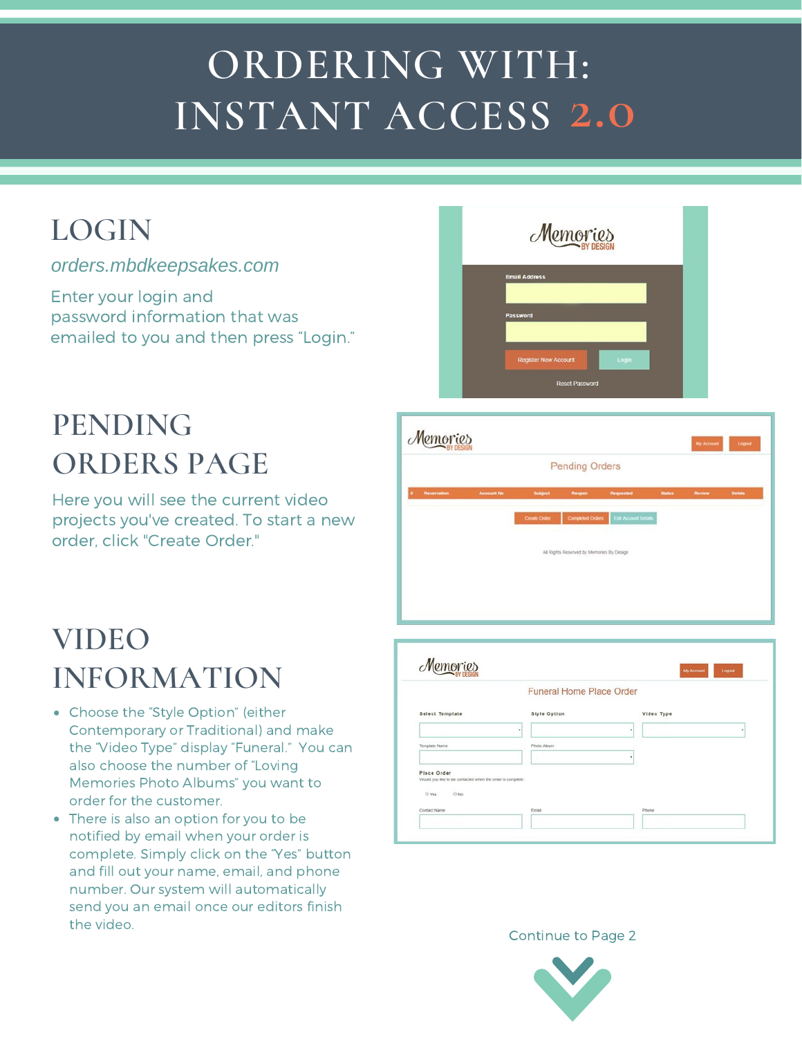# **ORDERING WITH: INSTANT ACCESS 2.0**

# **LOGIN**

#### *orders.mbdkeepsakes.com*

Enter your login and password information that was emailed to you and then press "Login."

# **PENDING ORDERS PAGE**

Here you will see the current video projects you've created. To start a new order, click "Create Order."

| Memories                                                      |
|---------------------------------------------------------------|
| <b>Email Address</b><br>Password                              |
| <b>Register New Account</b><br>Login<br><b>Reset Password</b> |

|             |                   |                     | <b>Pending Orders</b>                     |                             |               |        |        |  |  |
|-------------|-------------------|---------------------|-------------------------------------------|-----------------------------|---------------|--------|--------|--|--|
| Reservation | <b>Account No</b> | Subject             | Reopen                                    | Requested                   | <b>Status</b> | Review | Delete |  |  |
|             |                   | <b>Create Order</b> | <b>Completed Orders</b>                   | <b>Edit Account Details</b> |               |        |        |  |  |
|             |                   |                     | All Rights Reserved by Memories By Design |                             |               |        |        |  |  |
|             |                   |                     |                                           |                             |               |        |        |  |  |

# **VIDEO INFORMATION**

- Choose the "Style Option" (either Contemporary or Traditional) and make the "Video Type" display "Funeral." You can also choose the number of "Loving Memories Photo Albums" you want to order for the customer.
- There is also an option for you to be notified by email when your order is complete. Simply click on the "Yes" button and fill out your name, email, and phone number. Our system will automatically send you an email once our editors finish the video.

|                                                                           | <b>Funeral Home Place Order</b> |            |   |
|---------------------------------------------------------------------------|---------------------------------|------------|---|
|                                                                           |                                 |            |   |
| <b>Select Template</b>                                                    | <b>Style Option</b>             | Video Type |   |
|                                                                           | ٠                               | ٠          | ٠ |
| Template Name                                                             | Photo Album                     |            |   |
|                                                                           |                                 | ٠          |   |
| Place Order<br>Would you like to be contacted when the order is complete: |                                 |            |   |
| $@$ No<br>@ Yes                                                           |                                 |            |   |
|                                                                           | Email                           | Phone      |   |

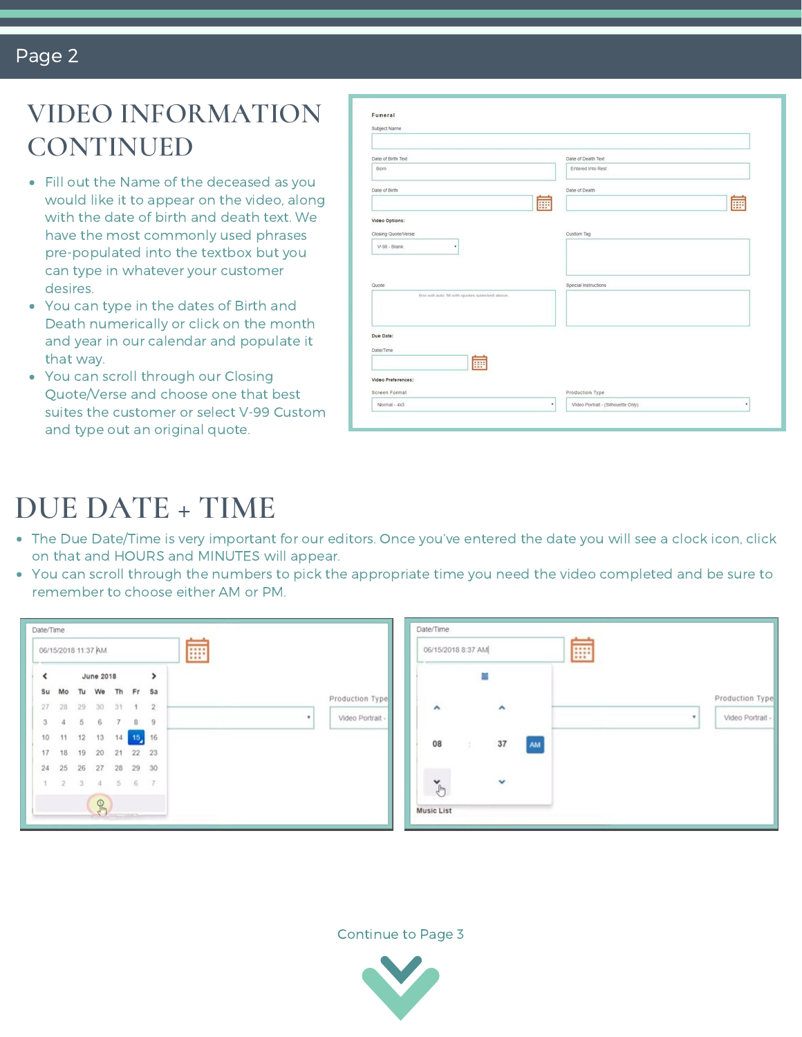#### Page 2

### **VIDEO INFORMATION CONTINUED**

- Fill out the Name of the deceased as you would like it to appear on the video, along with the date of birth and death text. We have the most commonly used phrases pre-populated into the textbox but you can type in whatever your customer desires.
- You can type in the dates of Birth and Death numerically or click on the month and year in our calendar and populate it that way.
- You can scroll through our Closing Quote/Verse and choose one that best suites the customer or select V-99 Custom and type out an original quote.

| Funeral                                        |                                              |
|------------------------------------------------|----------------------------------------------|
| Subject Name                                   |                                              |
|                                                |                                              |
| Date of Birth Text                             | Date of Death Text                           |
| Born                                           | Entered Into Rest                            |
| Date of Birth                                  | Date of Death                                |
|                                                | 臝<br>E                                       |
| Video Options:                                 |                                              |
| Closing Quote/Verse                            | Custom Tag                                   |
| V-98 - Blank<br>٠                              |                                              |
|                                                |                                              |
| Quote                                          | Special Instructions                         |
| Box will auto fill with quotes selected above. |                                              |
|                                                |                                              |
| Due Date:                                      |                                              |
|                                                |                                              |
| Date/Time                                      |                                              |
| m                                              |                                              |
| Video Preferences:                             |                                              |
| Screen Format                                  | Production Type                              |
| Normal - 4x3                                   | ٠<br>Video Portrait - (Silhouette Only)<br>٠ |

# **DUE DATE + TIME**

- The Due Date/Time is very important for our editors. Once you've entered the date you will see a clock icon, click on that and HOURS and MINUTES will appear.
- You can scroll through the numbers to pick the appropriate time you need the video completed and be sure to remember to choose either AM or PM.

|                  |   | <br>           |                 |    |                  |              | 06/15/2018 11:37 AM |                           |
|------------------|---|----------------|-----------------|----|------------------|--------------|---------------------|---------------------------|
|                  |   | $\rightarrow$  |                 |    | <b>June 2018</b> |              |                     | Ł                         |
| Production Type  |   | Sa             | Fr.             | Th | We               | Tu           | Mo                  | Su                        |
|                  |   | $\overline{2}$ | $\mathbf{1}$    | 31 | 30               | 29           | 28                  | 27                        |
| Video Portrait - | ٠ | $\overline{9}$ | 8               | 7  | 6                | - 5          | $\sqrt{4}$          | $\ensuremath{\mathsf{3}}$ |
|                  |   | 16             | 15 <sub>1</sub> | 14 | 13               | 12           | 11                  | 10                        |
|                  |   |                | 21 22 23        |    | 20               | 19           | 18                  | 17                        |
|                  |   |                | 29 30           | 28 | 27               | 26           | 25                  | 24                        |
|                  |   | 7              | 6               | 5  | 4                | $\mathbf{3}$ | $\overline{2}$      | 1                         |
|                  |   |                |                 |    | R                |              |                     |                           |

| 06/15/2018 8:37 AM                |    |    | ₩ |                       |
|-----------------------------------|----|----|---|-----------------------|
|                                   | Ξ  |    |   | Production Type       |
| ۸                                 | ۸  |    |   | Video Portrait -<br>٠ |
| 08<br>$\mathcal{L}_{\mathcal{A}}$ | 37 | AM |   |                       |
| $\sum_{j=1}^N$                    |    |    |   |                       |

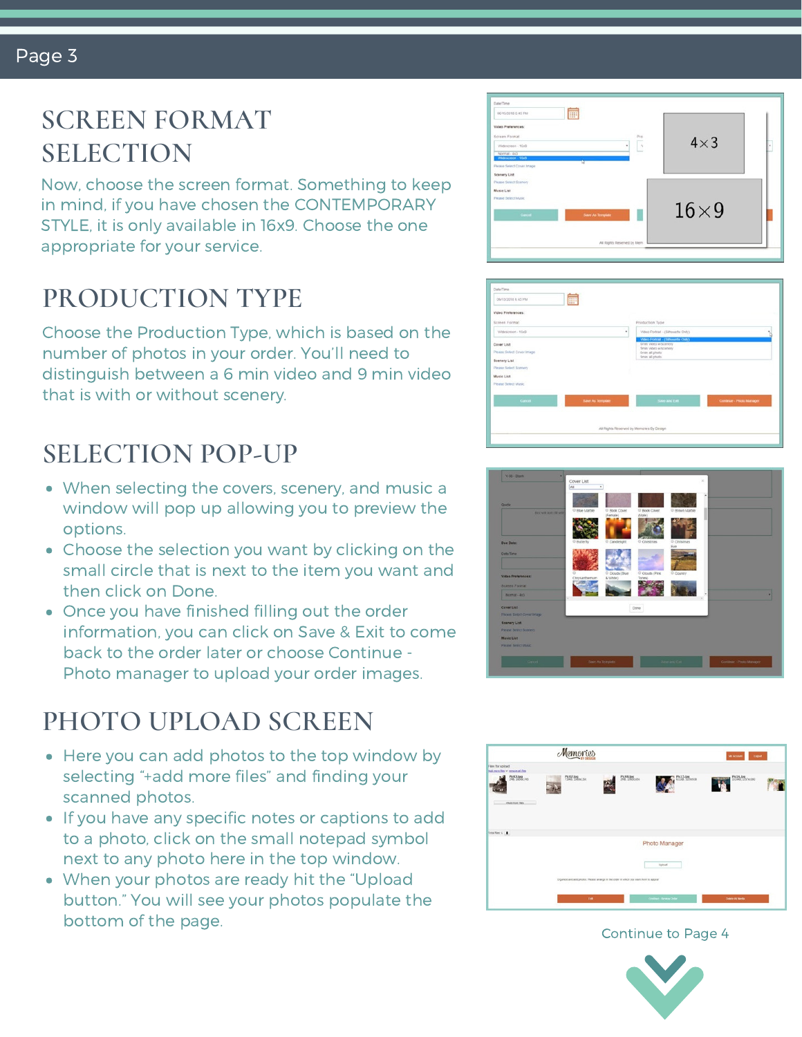# **SCREEN FORMAT SELECTION**

Now, choose the screen format. Something to keep in mind, if you have chosen the CONTEMPORARY STYLE, it is only available in 16x9. Choose the one appropriate for your service.

# **PRODUCTION TYPE**

Choose the Production Type, which is based on the number of photos in your order. You'll need to distinguish between a 6 min video and 9 min video that is with or without scenery.

## **SELECTION POP-UP**

- When selecting the covers, scenery, and music a window will pop up allowing you to preview the options.
- Choose the selection you want by clicking on the small circle that is next to the item you want and then click on Done.
- Once you have finished filling out the order information, you can click on Save & Exit to come back to the order later or choose Continue - Photo manager to upload your order images.

# **PHOTO UPLOAD SCREEN**

- Here you can add photos to the top window by selecting "+add more files" and finding your scanned photos.
- **If you have any specific notes or captions to add** to a photo, click on the small notepad symbol next to any photo here in the top window.
- When your photos are ready hit the "Upload button." You will see your photos populate the bottom of the page.









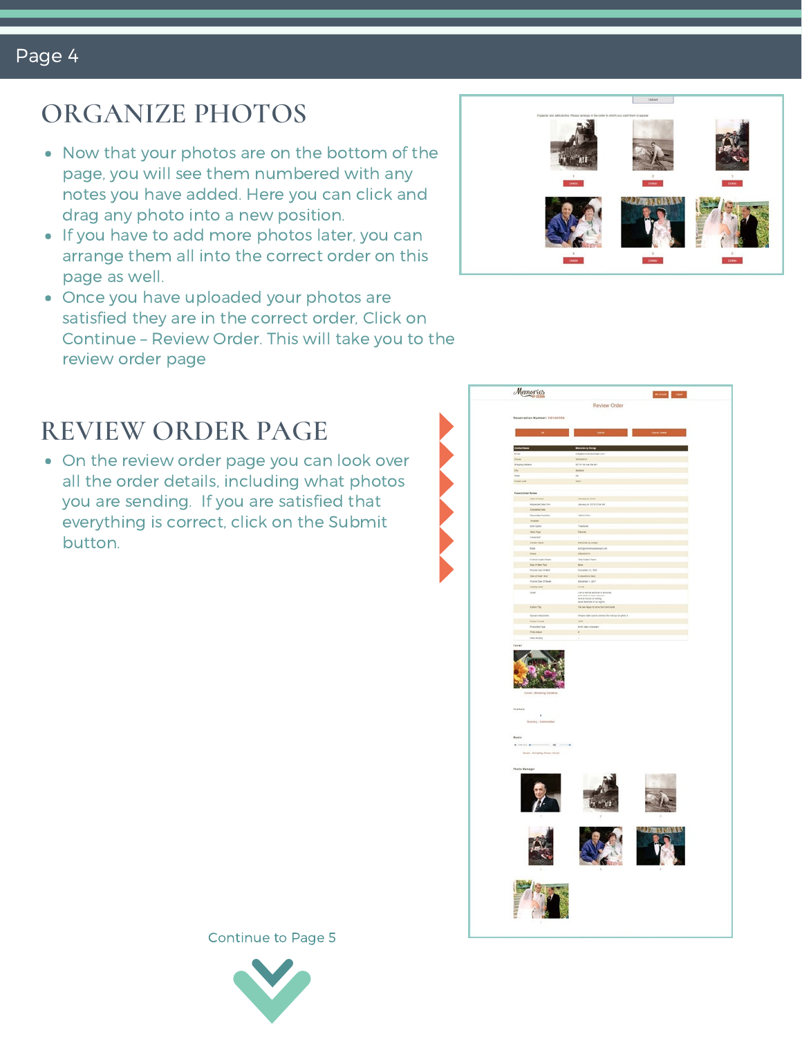## **ORGANIZE PHOTOS**

- Now that your photos are on the bottom of the page, you will see them numbered with any notes you have added. Here you can click and drag any photo into a new position.
- If you have to add more photos later, you can arrange them all into the correct order on this page as well.
- Once you have uploaded your photos are satisfied they are in the correct order, Click on Continue – Review Order. This will take you to the review order page



On the review order page you can look over all the order details, including what photos you are sending. If you are satisfied that everything is correct, click on the Submit button.